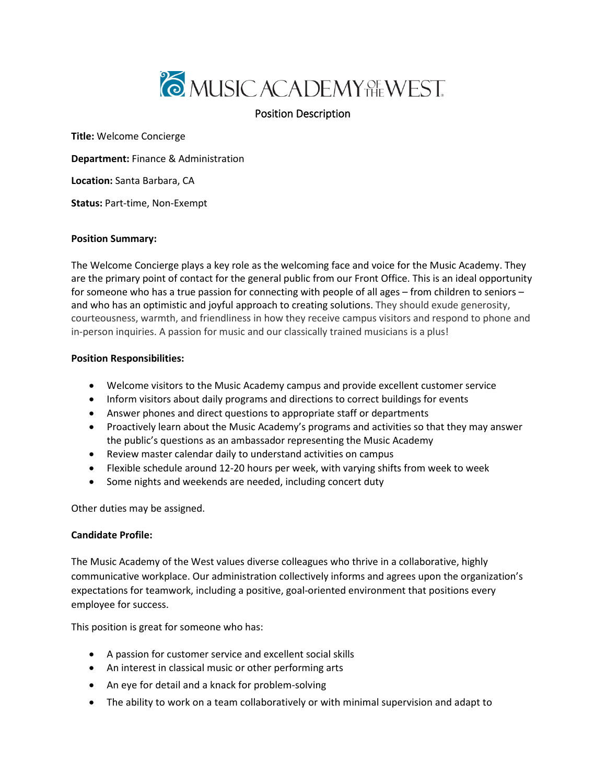

# Position Description

**Title:** Welcome Concierge

**Department:** Finance & Administration

**Location:** Santa Barbara, CA

**Status:** Part-time, Non-Exempt

### **Position Summary:**

The Welcome Concierge plays a key role as the welcoming face and voice for the Music Academy. They are the primary point of contact for the general public from our Front Office. This is an ideal opportunity for someone who has a true passion for connecting with people of all ages – from children to seniors – and who has an optimistic and joyful approach to creating solutions. They should exude generosity, courteousness, warmth, and friendliness in how they receive campus visitors and respond to phone and in-person inquiries. A passion for music and our classically trained musicians is a plus!

### **Position Responsibilities:**

- Welcome visitors to the Music Academy campus and provide excellent customer service
- Inform visitors about daily programs and directions to correct buildings for events
- Answer phones and direct questions to appropriate staff or departments
- Proactively learn about the Music Academy's programs and activities so that they may answer the public's questions as an ambassador representing the Music Academy
- Review master calendar daily to understand activities on campus
- Flexible schedule around 12-20 hours per week, with varying shifts from week to week
- Some nights and weekends are needed, including concert duty

Other duties may be assigned.

## **Candidate Profile:**

The Music Academy of the West values diverse colleagues who thrive in a collaborative, highly communicative workplace. Our administration collectively informs and agrees upon the organization's expectations for teamwork, including a positive, goal-oriented environment that positions every employee for success.

This position is great for someone who has:

- A passion for customer service and excellent social skills
- An interest in classical music or other performing arts
- An eye for detail and a knack for problem-solving
- The ability to work on a team collaboratively or with minimal supervision and adapt to